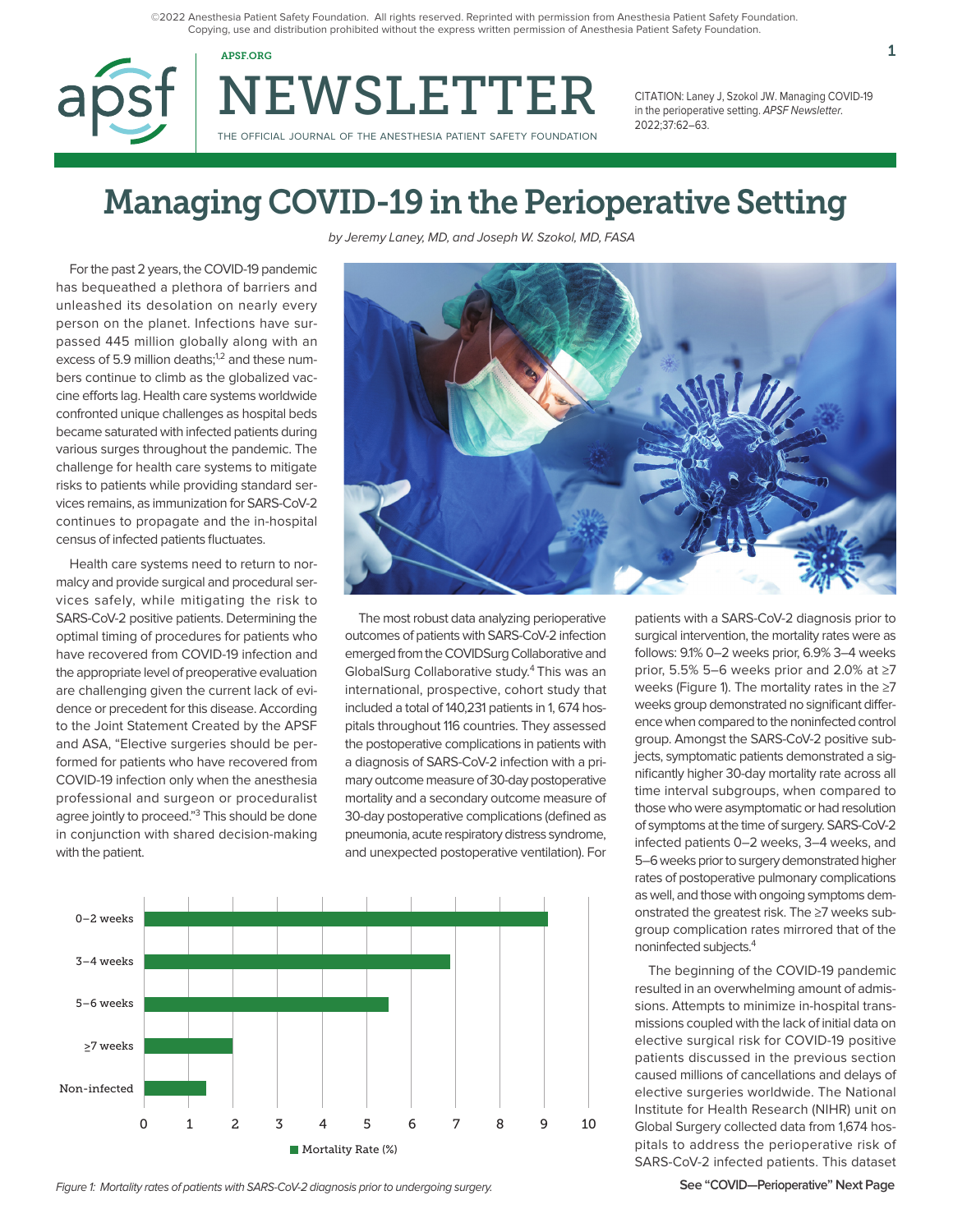©2022 Anesthesia Patient Safety Foundation. All rights reserved. Reprinted with permission from Anesthesia Patient Safety Foundation. Copying, use and distribution prohibited without the express written permission of Anesthesia Patient Safety Foundation.



NEWSLETTER THE OFFICIAL JOURNAL OF THE ANESTHESIA PATIENT SAFETY FOUNDATION

CITATION: Laney J, Szokol JW. Managing COVID-19 in the perioperative setting. APSF Newsletter. 2022;37:62–63.

# Managing COVID-19 in the Perioperative Setting

For the past 2 years, the COVID-19 pandemic has bequeathed a plethora of barriers and unleashed its desolation on nearly every person on the planet. Infections have surpassed 445 million globally along with an excess of 5.9 million deaths;<sup>1,2</sup> and these numbers continue to climb as the globalized vaccine efforts lag. Health care systems worldwide confronted unique challenges as hospital beds became saturated with infected patients during various surges throughout the pandemic. The challenge for health care systems to mitigate risks to patients while providing standard services remains, as immunization for SARS-CoV-2 continues to propagate and the in-hospital census of infected patients fluctuates.

Health care systems need to return to normalcy and provide surgical and procedural services safely, while mitigating the risk to SARS-CoV-2 positive patients. Determining the optimal timing of procedures for patients who have recovered from COVID-19 infection and the appropriate level of preoperative evaluation are challenging given the current lack of evidence or precedent for this disease. According to the Joint Statement Created by the APSF and ASA, "Elective surgeries should be performed for patients who have recovered from COVID-19 infection only when the anesthesia professional and surgeon or proceduralist agree jointly to proceed."<sup>3</sup> This should be done in conjunction with shared decision-making with the patient.

by Jeremy Laney, MD, and Joseph W. Szokol, MD, FASA



The most robust data analyzing perioperative outcomes of patients with SARS-CoV-2 infection emerged from the COVIDSurg Collaborative and GlobalSurg Collaborative study.4 This was an international, prospective, cohort study that included a total of 140,231 patients in 1, 674 hospitals throughout 116 countries. They assessed the postoperative complications in patients with a diagnosis of SARS-CoV-2 infection with a primary outcome measure of 30-day postoperative mortality and a secondary outcome measure of 30-day postoperative complications (defined as pneumonia, acute respiratory distress syndrome, and unexpected postoperative ventilation). For



patients with a SARS-CoV-2 diagnosis prior to surgical intervention, the mortality rates were as follows: 9.1% 0–2 weeks prior, 6.9% 3–4 weeks prior, 5.5% 5–6 weeks prior and 2.0% at ≥7 weeks (Figure 1). The mortality rates in the ≥7 weeks group demonstrated no significant difference when compared to the noninfected control group. Amongst the SARS-CoV-2 positive subjects, symptomatic patients demonstrated a significantly higher 30-day mortality rate across all time interval subgroups, when compared to those who were asymptomatic or had resolution of symptoms at the time of surgery. SARS-CoV-2 infected patients 0–2 weeks, 3–4 weeks, and 5–6 weeks prior to surgery demonstrated higher rates of postoperative pulmonary complications as well, and those with ongoing symptoms demonstrated the greatest risk. The ≥7 weeks subgroup complication rates mirrored that of the noninfected subjects.4

The beginning of the COVID-19 pandemic resulted in an overwhelming amount of admissions. Attempts to minimize in-hospital transmissions coupled with the lack of initial data on elective surgical risk for COVID-19 positive patients discussed in the previous section caused millions of cancellations and delays of elective surgeries worldwide. The National Institute for Health Research (NIHR) unit on Global Surgery collected data from 1,674 hospitals to address the perioperative risk of SARS-CoV-2 infected patients. This dataset

Figure 1: Mortality rates of patients with SARS-CoV-2 diagnosis prior to undergoing surgery.